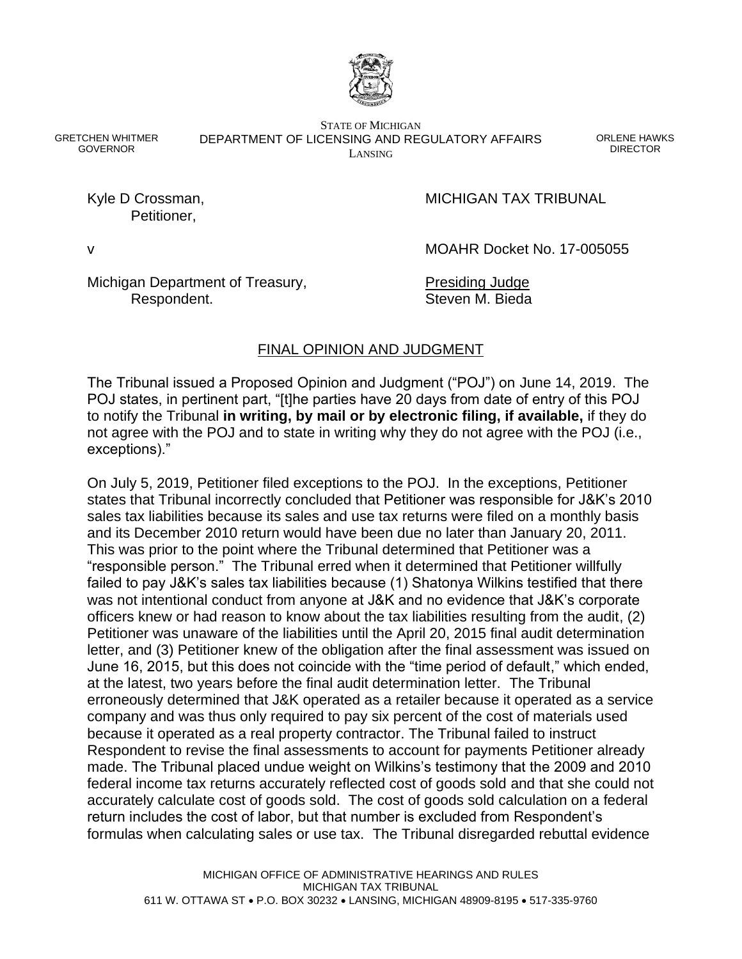

GRETCHEN WHITMER GOVERNOR

STATE OF MICHIGAN DEPARTMENT OF LICENSING AND REGULATORY AFFAIRS LANSING

ORLENE HAWKS DIRECTOR

Petitioner,

Kyle D Crossman, The Crossman, The Crossman MICHIGAN TAX TRIBUNAL

v MOAHR Docket No. 17-005055

Michigan Department of Treasury, Presiding Judge Respondent. Steven M. Bieda

# FINAL OPINION AND JUDGMENT

The Tribunal issued a Proposed Opinion and Judgment ("POJ") on June 14, 2019. The POJ states, in pertinent part, "[t]he parties have 20 days from date of entry of this POJ to notify the Tribunal **in writing, by mail or by electronic filing, if available,** if they do not agree with the POJ and to state in writing why they do not agree with the POJ (i.e., exceptions)."

On July 5, 2019, Petitioner filed exceptions to the POJ. In the exceptions, Petitioner states that Tribunal incorrectly concluded that Petitioner was responsible for J&K's 2010 sales tax liabilities because its sales and use tax returns were filed on a monthly basis and its December 2010 return would have been due no later than January 20, 2011. This was prior to the point where the Tribunal determined that Petitioner was a "responsible person." The Tribunal erred when it determined that Petitioner willfully failed to pay J&K's sales tax liabilities because (1) Shatonya Wilkins testified that there was not intentional conduct from anyone at J&K and no evidence that J&K's corporate officers knew or had reason to know about the tax liabilities resulting from the audit, (2) Petitioner was unaware of the liabilities until the April 20, 2015 final audit determination letter, and (3) Petitioner knew of the obligation after the final assessment was issued on June 16, 2015, but this does not coincide with the "time period of default," which ended, at the latest, two years before the final audit determination letter. The Tribunal erroneously determined that J&K operated as a retailer because it operated as a service company and was thus only required to pay six percent of the cost of materials used because it operated as a real property contractor. The Tribunal failed to instruct Respondent to revise the final assessments to account for payments Petitioner already made. The Tribunal placed undue weight on Wilkins's testimony that the 2009 and 2010 federal income tax returns accurately reflected cost of goods sold and that she could not accurately calculate cost of goods sold. The cost of goods sold calculation on a federal return includes the cost of labor, but that number is excluded from Respondent's formulas when calculating sales or use tax. The Tribunal disregarded rebuttal evidence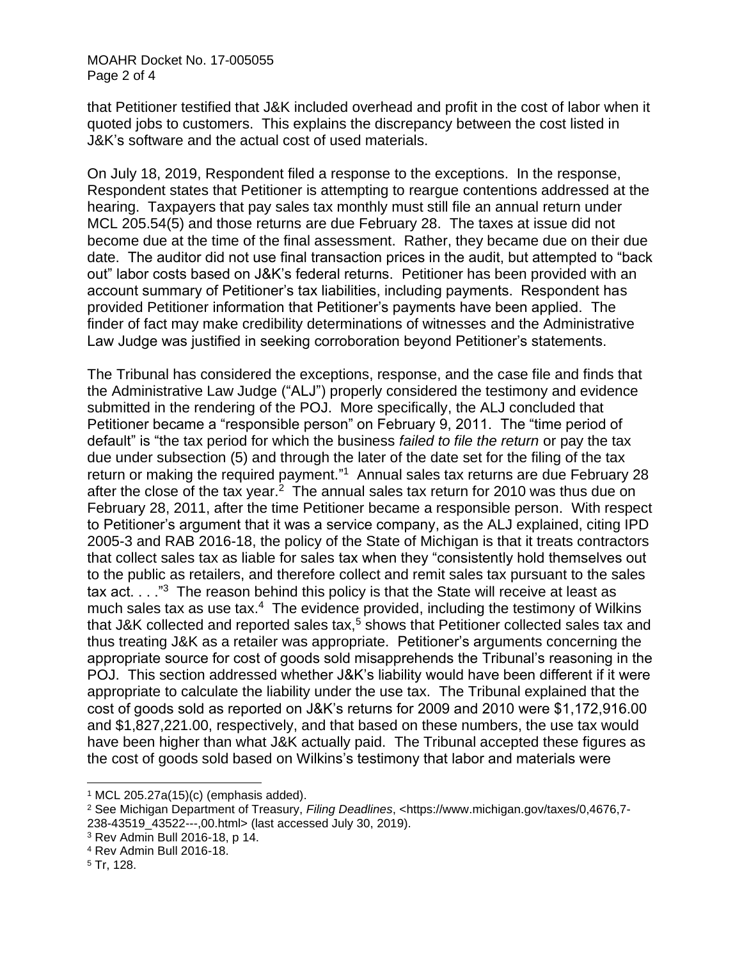that Petitioner testified that J&K included overhead and profit in the cost of labor when it quoted jobs to customers. This explains the discrepancy between the cost listed in J&K's software and the actual cost of used materials.

On July 18, 2019, Respondent filed a response to the exceptions. In the response, Respondent states that Petitioner is attempting to reargue contentions addressed at the hearing. Taxpayers that pay sales tax monthly must still file an annual return under MCL 205.54(5) and those returns are due February 28. The taxes at issue did not become due at the time of the final assessment. Rather, they became due on their due date. The auditor did not use final transaction prices in the audit, but attempted to "back out" labor costs based on J&K's federal returns. Petitioner has been provided with an account summary of Petitioner's tax liabilities, including payments. Respondent has provided Petitioner information that Petitioner's payments have been applied. The finder of fact may make credibility determinations of witnesses and the Administrative Law Judge was justified in seeking corroboration beyond Petitioner's statements.

The Tribunal has considered the exceptions, response, and the case file and finds that the Administrative Law Judge ("ALJ") properly considered the testimony and evidence submitted in the rendering of the POJ. More specifically, the ALJ concluded that Petitioner became a "responsible person" on February 9, 2011. The "time period of default" is "the tax period for which the business *failed to file the return* or pay the tax due under subsection (5) and through the later of the date set for the filing of the tax return or making the required payment."<sup>1</sup> Annual sales tax returns are due February 28 after the close of the tax year. $2$  The annual sales tax return for 2010 was thus due on February 28, 2011, after the time Petitioner became a responsible person. With respect to Petitioner's argument that it was a service company, as the ALJ explained, citing IPD 2005-3 and RAB 2016-18, the policy of the State of Michigan is that it treats contractors that collect sales tax as liable for sales tax when they "consistently hold themselves out to the public as retailers, and therefore collect and remit sales tax pursuant to the sales tax act.  $\ldots$  "<sup>3</sup> The reason behind this policy is that the State will receive at least as much sales tax as use tax.<sup>4</sup> The evidence provided, including the testimony of Wilkins that J&K collected and reported sales tax,<sup>5</sup> shows that Petitioner collected sales tax and thus treating J&K as a retailer was appropriate. Petitioner's arguments concerning the appropriate source for cost of goods sold misapprehends the Tribunal's reasoning in the POJ. This section addressed whether J&K's liability would have been different if it were appropriate to calculate the liability under the use tax. The Tribunal explained that the cost of goods sold as reported on J&K's returns for 2009 and 2010 were \$1,172,916.00 and \$1,827,221.00, respectively, and that based on these numbers, the use tax would have been higher than what J&K actually paid. The Tribunal accepted these figures as the cost of goods sold based on Wilkins's testimony that labor and materials were

 $1$  MCL 205.27a(15)(c) (emphasis added).

<sup>2</sup> See Michigan Department of Treasury, *Filing Deadlines*, <https://www.michigan.gov/taxes/0,4676,7- 238-43519\_43522---,00.html> (last accessed July 30, 2019).

<sup>3</sup> Rev Admin Bull 2016-18, p 14.

<sup>4</sup> Rev Admin Bull 2016-18.

<sup>5</sup> Tr, 128.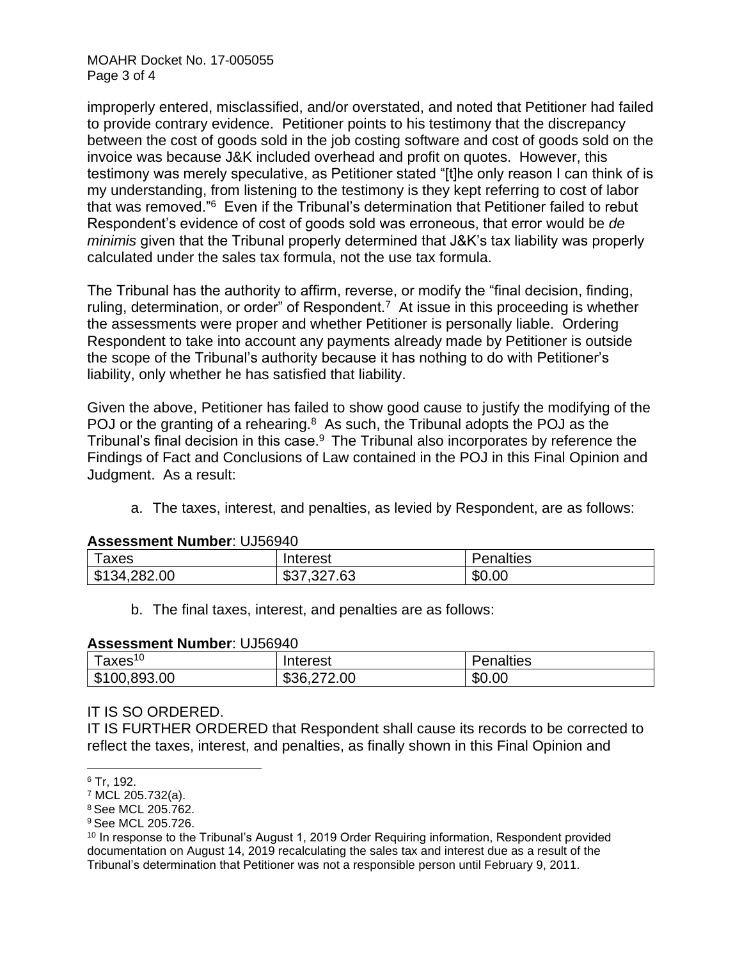MOAHR Docket No. 17-005055 Page 3 of 4

improperly entered, misclassified, and/or overstated, and noted that Petitioner had failed to provide contrary evidence. Petitioner points to his testimony that the discrepancy between the cost of goods sold in the job costing software and cost of goods sold on the invoice was because J&K included overhead and profit on quotes. However, this testimony was merely speculative, as Petitioner stated "[t]he only reason I can think of is my understanding, from listening to the testimony is they kept referring to cost of labor that was removed."<sup>6</sup> Even if the Tribunal's determination that Petitioner failed to rebut Respondent's evidence of cost of goods sold was erroneous, that error would be *de minimis* given that the Tribunal properly determined that J&K's tax liability was properly calculated under the sales tax formula, not the use tax formula.

The Tribunal has the authority to affirm, reverse, or modify the "final decision, finding, ruling, determination, or order" of Respondent.<sup>7</sup> At issue in this proceeding is whether the assessments were proper and whether Petitioner is personally liable. Ordering Respondent to take into account any payments already made by Petitioner is outside the scope of the Tribunal's authority because it has nothing to do with Petitioner's liability, only whether he has satisfied that liability.

Given the above, Petitioner has failed to show good cause to justify the modifying of the POJ or the granting of a rehearing. $8$  As such, the Tribunal adopts the POJ as the Tribunal's final decision in this case.<sup>9</sup> The Tribunal also incorporates by reference the Findings of Fact and Conclusions of Law contained in the POJ in this Final Opinion and Judgment. As a result:

a. The taxes, interest, and penalties, as levied by Respondent, are as follows:

#### **Assessment Number**: UJ56940

| axes               | Interest             | $\cdots$<br>Penalties |
|--------------------|----------------------|-----------------------|
| \$134,<br>4,282.00 | ,327.63<br>ጦገ<br>، ت | \$0.00                |

b. The final taxes, interest, and penalties are as follows:

#### **Assessment Number**: UJ56940

| Taxes $10$   | Interest    | <b>Penalties</b> |
|--------------|-------------|------------------|
| \$100,893.00 | \$36,272.00 | \$0.00           |

#### IT IS SO ORDERED.

IT IS FURTHER ORDERED that Respondent shall cause its records to be corrected to reflect the taxes, interest, and penalties, as finally shown in this Final Opinion and

<sup>6</sup> Tr, 192.

<sup>7</sup> MCL 205.732(a).

<sup>8</sup> See MCL 205.762.

<sup>9</sup> See MCL 205.726.

<sup>&</sup>lt;sup>10</sup> In response to the Tribunal's August 1, 2019 Order Requiring information, Respondent provided documentation on August 14, 2019 recalculating the sales tax and interest due as a result of the Tribunal's determination that Petitioner was not a responsible person until February 9, 2011.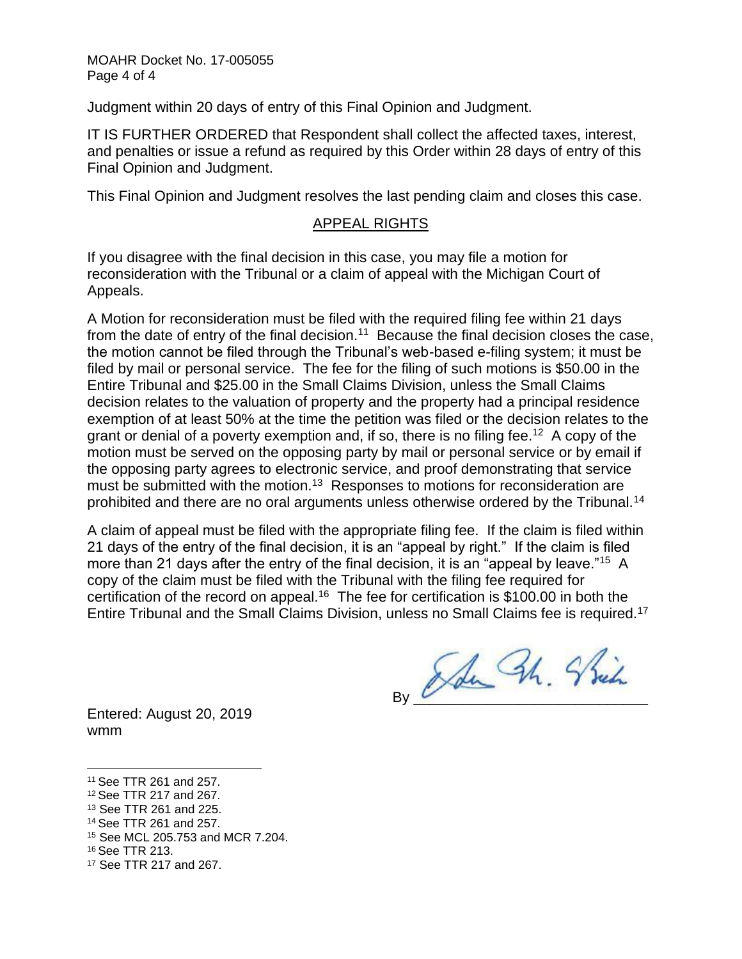Judgment within 20 days of entry of this Final Opinion and Judgment.

IT IS FURTHER ORDERED that Respondent shall collect the affected taxes, interest, and penalties or issue a refund as required by this Order within 28 days of entry of this Final Opinion and Judgment.

This Final Opinion and Judgment resolves the last pending claim and closes this case.

### APPEAL RIGHTS

If you disagree with the final decision in this case, you may file a motion for reconsideration with the Tribunal or a claim of appeal with the Michigan Court of Appeals.

A Motion for reconsideration must be filed with the required filing fee within 21 days from the date of entry of the final decision.<sup>11</sup> Because the final decision closes the case, the motion cannot be filed through the Tribunal's web-based e-filing system; it must be filed by mail or personal service. The fee for the filing of such motions is \$50.00 in the Entire Tribunal and \$25.00 in the Small Claims Division, unless the Small Claims decision relates to the valuation of property and the property had a principal residence exemption of at least 50% at the time the petition was filed or the decision relates to the grant or denial of a poverty exemption and, if so, there is no filing fee.<sup>12</sup> A copy of the motion must be served on the opposing party by mail or personal service or by email if the opposing party agrees to electronic service, and proof demonstrating that service must be submitted with the motion.<sup>13</sup> Responses to motions for reconsideration are prohibited and there are no oral arguments unless otherwise ordered by the Tribunal.<sup>14</sup>

A claim of appeal must be filed with the appropriate filing fee. If the claim is filed within 21 days of the entry of the final decision, it is an "appeal by right." If the claim is filed more than 21 days after the entry of the final decision, it is an "appeal by leave."<sup>15</sup> A copy of the claim must be filed with the Tribunal with the filing fee required for certification of the record on appeal.<sup>16</sup> The fee for certification is \$100.00 in both the Entire Tribunal and the Small Claims Division, unless no Small Claims fee is required.<sup>17</sup>

By Ade Sh. Strik

Entered: August 20, 2019 wmm

<sup>11</sup> See TTR 261 and 257.

<sup>12</sup> See TTR 217 and 267.

<sup>13</sup> See TTR 261 and 225.

<sup>14</sup> See TTR 261 and 257.

<sup>15</sup> See MCL 205.753 and MCR 7.204.

<sup>16</sup> See TTR 213.

<sup>17</sup> See TTR 217 and 267.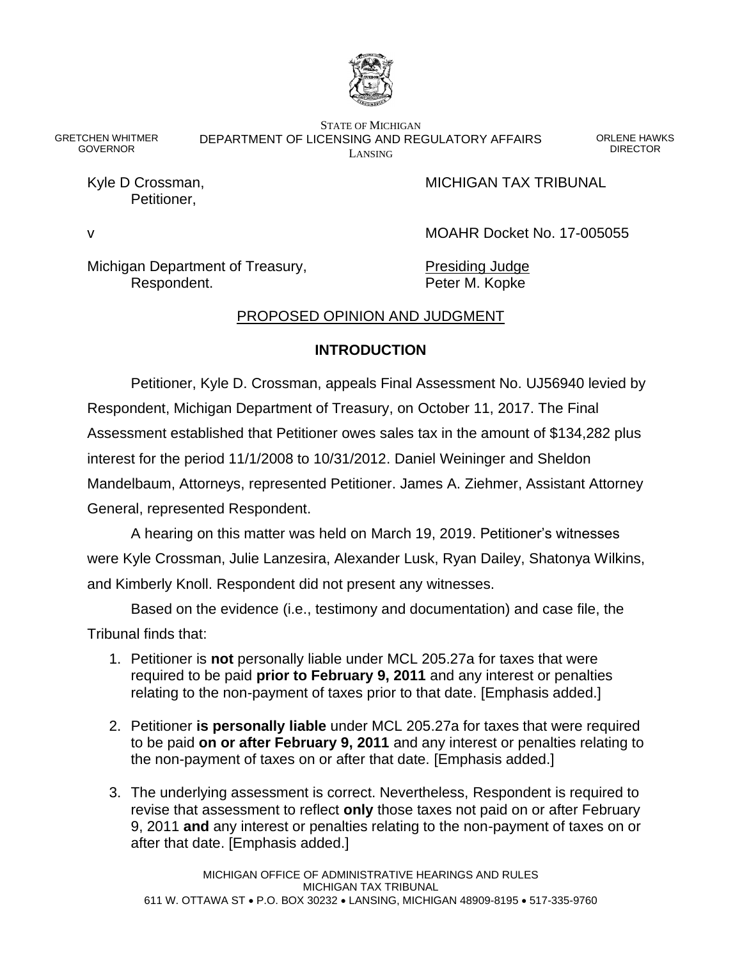

GRETCHEN WHITMER GOVERNOR

STATE OF MICHIGAN DEPARTMENT OF LICENSING AND REGULATORY AFFAIRS LANSING

ORLENE HAWKS DIRECTOR

Petitioner,

Kyle D Crossman, The Crossman, The Crossman MICHIGAN TAX TRIBUNAL

v MOAHR Docket No. 17-005055

Michigan Department of Treasury, Presiding Judge Respondent. The Peter M. Kopke

### PROPOSED OPINION AND JUDGMENT

### **INTRODUCTION**

Petitioner, Kyle D. Crossman, appeals Final Assessment No. UJ56940 levied by Respondent, Michigan Department of Treasury, on October 11, 2017. The Final Assessment established that Petitioner owes sales tax in the amount of \$134,282 plus interest for the period 11/1/2008 to 10/31/2012. Daniel Weininger and Sheldon Mandelbaum, Attorneys, represented Petitioner. James A. Ziehmer, Assistant Attorney General, represented Respondent.

A hearing on this matter was held on March 19, 2019. Petitioner's witnesses were Kyle Crossman, Julie Lanzesira, Alexander Lusk, Ryan Dailey, Shatonya Wilkins, and Kimberly Knoll. Respondent did not present any witnesses.

Based on the evidence (i.e., testimony and documentation) and case file, the

Tribunal finds that:

- 1. Petitioner is **not** personally liable under MCL 205.27a for taxes that were required to be paid **prior to February 9, 2011** and any interest or penalties relating to the non-payment of taxes prior to that date. [Emphasis added.]
- 2. Petitioner **is personally liable** under MCL 205.27a for taxes that were required to be paid **on or after February 9, 2011** and any interest or penalties relating to the non-payment of taxes on or after that date. [Emphasis added.]
- 3. The underlying assessment is correct. Nevertheless, Respondent is required to revise that assessment to reflect **only** those taxes not paid on or after February 9, 2011 **and** any interest or penalties relating to the non-payment of taxes on or after that date. [Emphasis added.]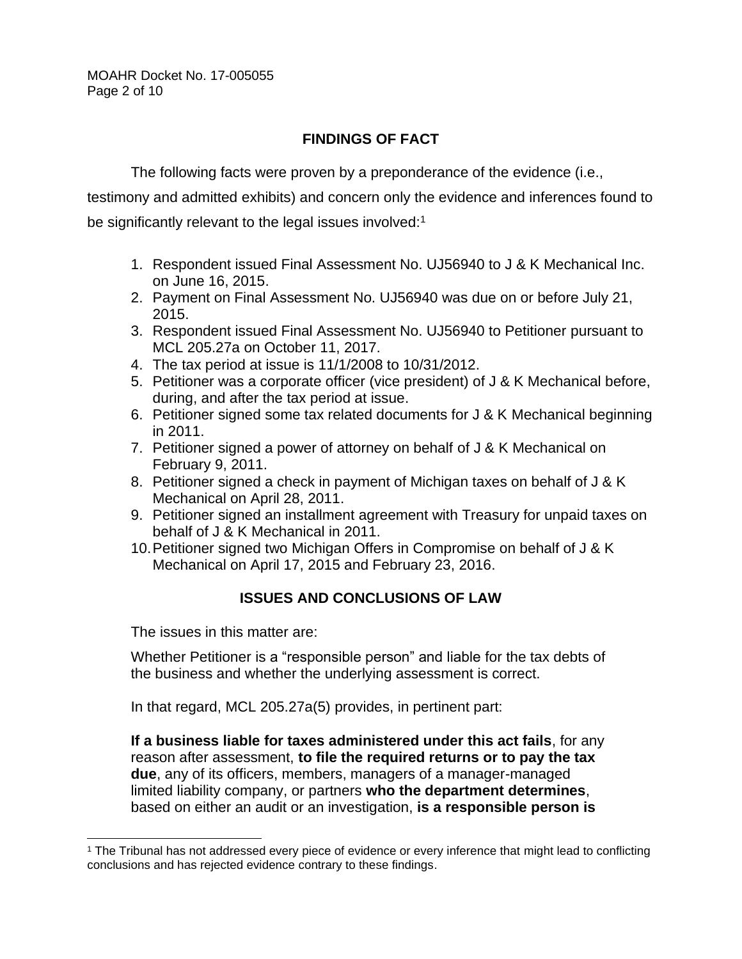MOAHR Docket No. 17-005055 Page 2 of 10

### **FINDINGS OF FACT**

The following facts were proven by a preponderance of the evidence (i.e.,

testimony and admitted exhibits) and concern only the evidence and inferences found to be significantly relevant to the legal issues involved:<sup>1</sup>

- 1. Respondent issued Final Assessment No. UJ56940 to J & K Mechanical Inc. on June 16, 2015.
- 2. Payment on Final Assessment No. UJ56940 was due on or before July 21, 2015.
- 3. Respondent issued Final Assessment No. UJ56940 to Petitioner pursuant to MCL 205.27a on October 11, 2017.
- 4. The tax period at issue is 11/1/2008 to 10/31/2012.
- 5. Petitioner was a corporate officer (vice president) of J & K Mechanical before, during, and after the tax period at issue.
- 6. Petitioner signed some tax related documents for J & K Mechanical beginning in 2011.
- 7. Petitioner signed a power of attorney on behalf of J & K Mechanical on February 9, 2011.
- 8. Petitioner signed a check in payment of Michigan taxes on behalf of J & K Mechanical on April 28, 2011.
- 9. Petitioner signed an installment agreement with Treasury for unpaid taxes on behalf of J & K Mechanical in 2011.
- 10.Petitioner signed two Michigan Offers in Compromise on behalf of J & K Mechanical on April 17, 2015 and February 23, 2016.

## **ISSUES AND CONCLUSIONS OF LAW**

The issues in this matter are:

Whether Petitioner is a "responsible person" and liable for the tax debts of the business and whether the underlying assessment is correct.

In that regard, MCL 205.27a(5) provides, in pertinent part:

**If a business liable for taxes administered under this act fails**, for any reason after assessment, **to file the required returns or to pay the tax due**, any of its officers, members, managers of a manager-managed limited liability company, or partners **who the department determines**, based on either an audit or an investigation, **is a responsible person is** 

<sup>1</sup> The Tribunal has not addressed every piece of evidence or every inference that might lead to conflicting conclusions and has rejected evidence contrary to these findings.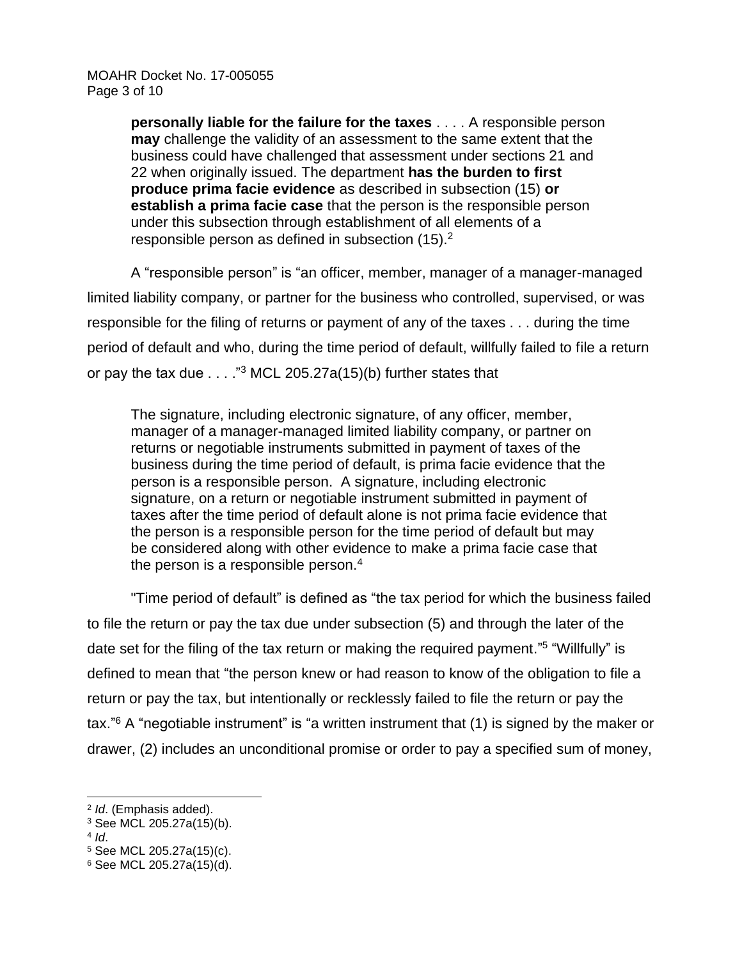**personally liable for the failure for the taxes** . . . . A responsible person **may** challenge the validity of an assessment to the same extent that the business could have challenged that assessment under sections 21 and 22 when originally issued. The department **has the burden to first produce prima facie evidence** as described in subsection (15) **or establish a prima facie case** that the person is the responsible person under this subsection through establishment of all elements of a responsible person as defined in subsection  $(15).<sup>2</sup>$ 

A "responsible person" is "an officer, member, manager of a manager-managed limited liability company, or partner for the business who controlled, supervised, or was responsible for the filing of returns or payment of any of the taxes . . . during the time period of default and who, during the time period of default, willfully failed to file a return or pay the tax due  $\ldots$  ."<sup>3</sup> MCL 205.27a(15)(b) further states that

The signature, including electronic signature, of any officer, member, manager of a manager-managed limited liability company, or partner on returns or negotiable instruments submitted in payment of taxes of the business during the time period of default, is prima facie evidence that the person is a responsible person. A signature, including electronic signature, on a return or negotiable instrument submitted in payment of taxes after the time period of default alone is not prima facie evidence that the person is a responsible person for the time period of default but may be considered along with other evidence to make a prima facie case that the person is a responsible person. $4$ 

"Time period of default" is defined as "the tax period for which the business failed to file the return or pay the tax due under subsection (5) and through the later of the date set for the filing of the tax return or making the required payment."<sup>5</sup> "Willfully" is defined to mean that "the person knew or had reason to know of the obligation to file a return or pay the tax, but intentionally or recklessly failed to file the return or pay the tax."<sup>6</sup> A "negotiable instrument" is "a written instrument that (1) is signed by the maker or drawer, (2) includes an unconditional promise or order to pay a specified sum of money,

<sup>2</sup> *Id*. (Emphasis added).

<sup>3</sup> See MCL 205.27a(15)(b).

<sup>4</sup> *Id*.

<sup>5</sup> See MCL 205.27a(15)(c).

<sup>6</sup> See MCL 205.27a(15)(d).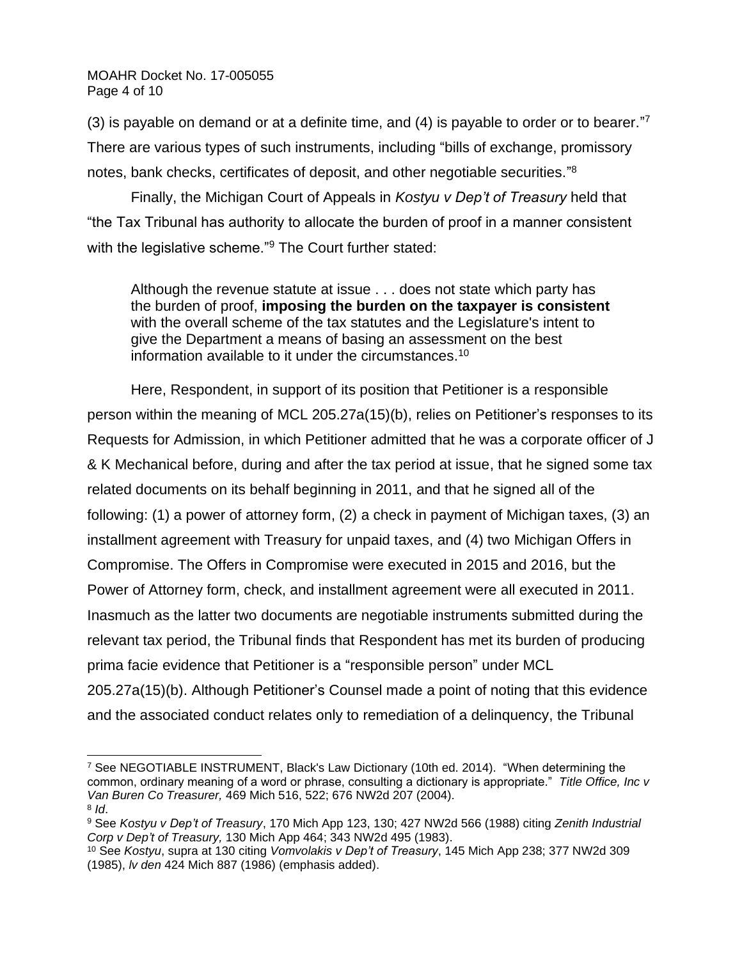MOAHR Docket No. 17-005055 Page 4 of 10

(3) is payable on demand or at a definite time, and  $(4)$  is payable to order or to bearer."<sup>7</sup> There are various types of such instruments, including "bills of exchange, promissory notes, bank checks, certificates of deposit, and other negotiable securities."<sup>8</sup>

Finally, the Michigan Court of Appeals in *Kostyu v Dep't of Treasury* held that "the Tax Tribunal has authority to allocate the burden of proof in a manner consistent with the legislative scheme."<sup>9</sup> The Court further stated:

Although the revenue statute at issue . . . does not state which party has the burden of proof, **imposing the burden on the taxpayer is consistent** with the overall scheme of the tax statutes and the Legislature's intent to give the Department a means of basing an assessment on the best information available to it under the circumstances.<sup>10</sup>

Here, Respondent, in support of its position that Petitioner is a responsible person within the meaning of MCL 205.27a(15)(b), relies on Petitioner's responses to its Requests for Admission, in which Petitioner admitted that he was a corporate officer of J & K Mechanical before, during and after the tax period at issue, that he signed some tax related documents on its behalf beginning in 2011, and that he signed all of the following: (1) a power of attorney form, (2) a check in payment of Michigan taxes, (3) an installment agreement with Treasury for unpaid taxes, and (4) two Michigan Offers in Compromise. The Offers in Compromise were executed in 2015 and 2016, but the Power of Attorney form, check, and installment agreement were all executed in 2011. Inasmuch as the latter two documents are negotiable instruments submitted during the relevant tax period, the Tribunal finds that Respondent has met its burden of producing prima facie evidence that Petitioner is a "responsible person" under MCL 205.27a(15)(b). Although Petitioner's Counsel made a point of noting that this evidence

and the associated conduct relates only to remediation of a delinquency, the Tribunal

<sup>7</sup> See NEGOTIABLE INSTRUMENT, Black's Law Dictionary (10th ed. 2014). "When determining the common, ordinary meaning of a word or phrase, consulting a dictionary is appropriate." *Title Office, Inc v Van Buren Co Treasurer,* 469 Mich 516, 522; 676 NW2d 207 (2004).

<sup>8</sup> *Id*.

<sup>9</sup> See *Kostyu v Dep't of Treasury*, 170 Mich App 123, 130; 427 NW2d 566 (1988) citing *Zenith Industrial Corp v Dep't of Treasury,* 130 Mich App 464; 343 NW2d 495 (1983).

<sup>10</sup> See *Kostyu*, supra at 130 citing *Vomvolakis v Dep't of Treasury*, 145 Mich App 238; 377 NW2d 309 (1985), *lv den* 424 Mich 887 (1986) (emphasis added).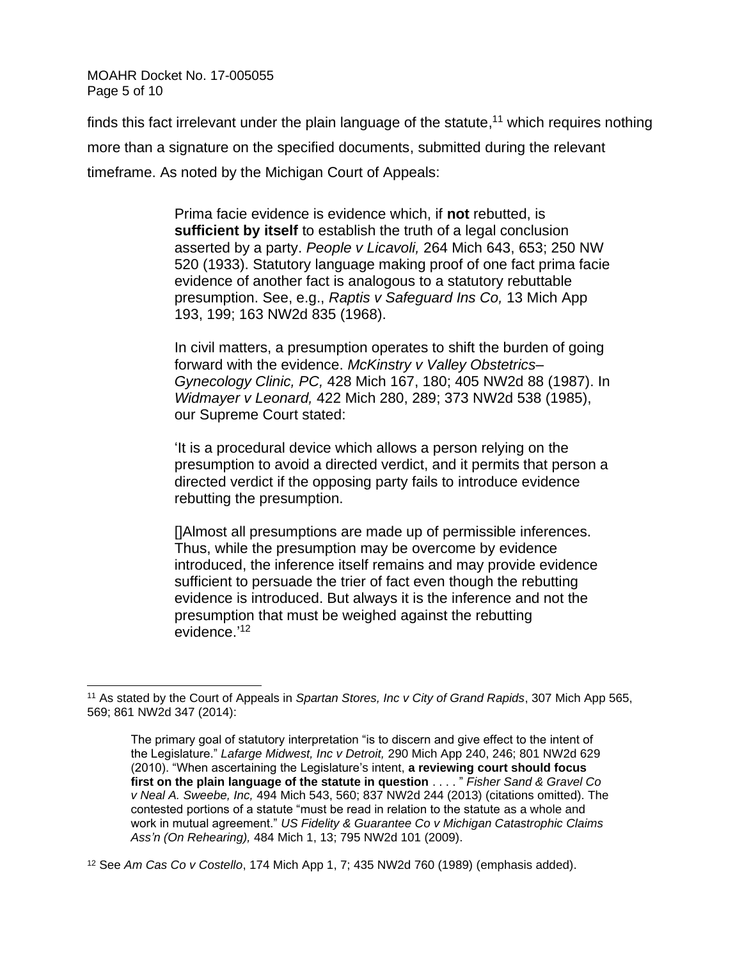MOAHR Docket No. 17-005055 Page 5 of 10

finds this fact irrelevant under the plain language of the statute,<sup>11</sup> which requires nothing more than a signature on the specified documents, submitted during the relevant timeframe. As noted by the Michigan Court of Appeals:

> Prima facie evidence is evidence which, if **not** rebutted, is **sufficient by itself** to establish the truth of a legal conclusion asserted by a party. *People v Licavoli,* 264 Mich 643, 653; 250 NW 520 (1933). Statutory language making proof of one fact prima facie evidence of another fact is analogous to a statutory rebuttable presumption. See, e.g., *Raptis v Safeguard Ins Co,* 13 Mich App 193, 199; 163 NW2d 835 (1968).

> In civil matters, a presumption operates to shift the burden of going forward with the evidence. *McKinstry v Valley Obstetrics– Gynecology Clinic, PC,* 428 Mich 167, 180; 405 NW2d 88 (1987). In *Widmayer v Leonard,* 422 Mich 280, 289; 373 NW2d 538 (1985), our Supreme Court stated:

> 'It is a procedural device which allows a person relying on the presumption to avoid a directed verdict, and it permits that person a directed verdict if the opposing party fails to introduce evidence rebutting the presumption.

[]Almost all presumptions are made up of permissible inferences. Thus, while the presumption may be overcome by evidence introduced, the inference itself remains and may provide evidence sufficient to persuade the trier of fact even though the rebutting evidence is introduced. But always it is the inference and not the presumption that must be weighed against the rebutting evidence.' 12

<sup>11</sup> As stated by the Court of Appeals in *Spartan Stores, Inc v City of Grand Rapids*, 307 Mich App 565, 569; 861 NW2d 347 (2014):

The primary goal of statutory interpretation "is to discern and give effect to the intent of the Legislature." *Lafarge Midwest, Inc v Detroit,* 290 Mich App 240, 246; 801 NW2d 629 (2010). "When ascertaining the Legislature's intent, **a reviewing court should focus first on the plain language of the statute in question** . . . . " *Fisher Sand & Gravel Co v Neal A. Sweebe, Inc,* 494 Mich 543, 560; 837 NW2d 244 (2013) (citations omitted). The contested portions of a statute "must be read in relation to the statute as a whole and work in mutual agreement." *US Fidelity & Guarantee Co v Michigan Catastrophic Claims Ass'n (On Rehearing),* 484 Mich 1, 13; 795 NW2d 101 (2009).

<sup>12</sup> See *Am Cas Co v Costello*, 174 Mich App 1, 7; 435 NW2d 760 (1989) (emphasis added).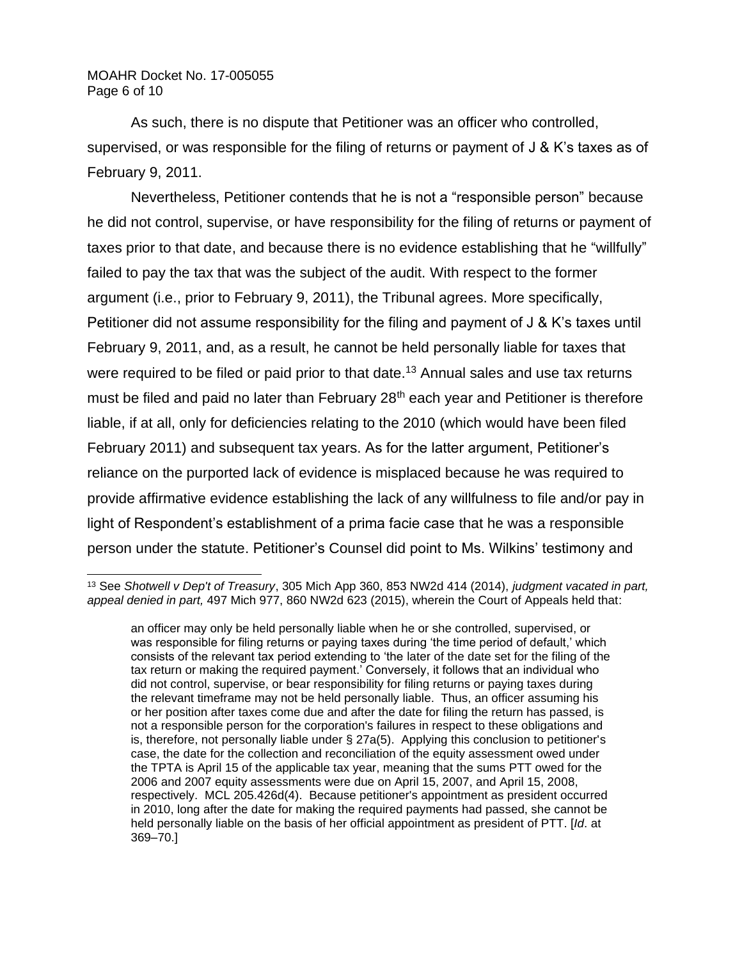#### MOAHR Docket No. 17-005055 Page 6 of 10

As such, there is no dispute that Petitioner was an officer who controlled, supervised, or was responsible for the filing of returns or payment of J & K's taxes as of February 9, 2011.

Nevertheless, Petitioner contends that he is not a "responsible person" because he did not control, supervise, or have responsibility for the filing of returns or payment of taxes prior to that date, and because there is no evidence establishing that he "willfully" failed to pay the tax that was the subject of the audit. With respect to the former argument (i.e., prior to February 9, 2011), the Tribunal agrees. More specifically, Petitioner did not assume responsibility for the filing and payment of J & K's taxes until February 9, 2011, and, as a result, he cannot be held personally liable for taxes that were required to be filed or paid prior to that date.<sup>13</sup> Annual sales and use tax returns must be filed and paid no later than February 28<sup>th</sup> each year and Petitioner is therefore liable, if at all, only for deficiencies relating to the 2010 (which would have been filed February 2011) and subsequent tax years. As for the latter argument, Petitioner's reliance on the purported lack of evidence is misplaced because he was required to provide affirmative evidence establishing the lack of any willfulness to file and/or pay in light of Respondent's establishment of a prima facie case that he was a responsible person under the statute. Petitioner's Counsel did point to Ms. Wilkins' testimony and

<sup>13</sup> See *Shotwell v Dep't of Treasury*, 305 Mich App 360, 853 NW2d 414 (2014), *judgment vacated in part, appeal denied in part,* 497 Mich 977, 860 NW2d 623 (2015), wherein the Court of Appeals held that:

an officer may only be held personally liable when he or she controlled, supervised, or was responsible for filing returns or paying taxes during 'the time period of default,' which consists of the relevant tax period extending to 'the later of the date set for the filing of the tax return or making the required payment.' Conversely, it follows that an individual who did not control, supervise, or bear responsibility for filing returns or paying taxes during the relevant timeframe may not be held personally liable. Thus, an officer assuming his or her position after taxes come due and after the date for filing the return has passed, is not a responsible person for the corporation's failures in respect to these obligations and is, therefore, not personally liable under § 27a(5). Applying this conclusion to petitioner's case, the date for the collection and reconciliation of the equity assessment owed under the TPTA is April 15 of the applicable tax year, meaning that the sums PTT owed for the 2006 and 2007 equity assessments were due on April 15, 2007, and April 15, 2008, respectively. MCL 205.426d(4). Because petitioner's appointment as president occurred in 2010, long after the date for making the required payments had passed, she cannot be held personally liable on the basis of her official appointment as president of PTT. [*Id*. at 369–70.]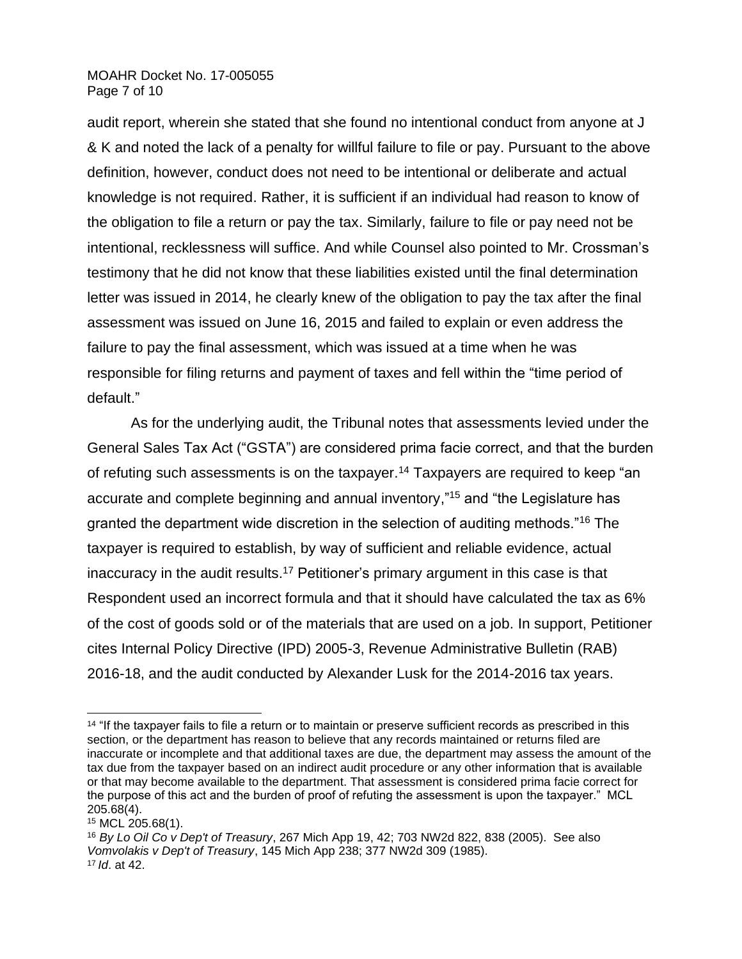#### MOAHR Docket No. 17-005055 Page 7 of 10

audit report, wherein she stated that she found no intentional conduct from anyone at J & K and noted the lack of a penalty for willful failure to file or pay. Pursuant to the above definition, however, conduct does not need to be intentional or deliberate and actual knowledge is not required. Rather, it is sufficient if an individual had reason to know of the obligation to file a return or pay the tax. Similarly, failure to file or pay need not be intentional, recklessness will suffice. And while Counsel also pointed to Mr. Crossman's testimony that he did not know that these liabilities existed until the final determination letter was issued in 2014, he clearly knew of the obligation to pay the tax after the final assessment was issued on June 16, 2015 and failed to explain or even address the failure to pay the final assessment, which was issued at a time when he was responsible for filing returns and payment of taxes and fell within the "time period of default."

As for the underlying audit, the Tribunal notes that assessments levied under the General Sales Tax Act ("GSTA") are considered prima facie correct, and that the burden of refuting such assessments is on the taxpayer.<sup>14</sup> Taxpayers are required to keep "an accurate and complete beginning and annual inventory," <sup>15</sup> and "the Legislature has granted the department wide discretion in the selection of auditing methods."<sup>16</sup> The taxpayer is required to establish, by way of sufficient and reliable evidence, actual inaccuracy in the audit results.<sup>17</sup> Petitioner's primary argument in this case is that Respondent used an incorrect formula and that it should have calculated the tax as 6% of the cost of goods sold or of the materials that are used on a job. In support, Petitioner cites Internal Policy Directive (IPD) 2005-3, Revenue Administrative Bulletin (RAB) 2016-18, and the audit conducted by Alexander Lusk for the 2014-2016 tax years.

<sup>&</sup>lt;sup>14</sup> "If the taxpayer fails to file a return or to maintain or preserve sufficient records as prescribed in this section, or the department has reason to believe that any records maintained or returns filed are inaccurate or incomplete and that additional taxes are due, the department may assess the amount of the tax due from the taxpayer based on an indirect audit procedure or any other information that is available or that may become available to the department. That assessment is considered prima facie correct for the purpose of this act and the burden of proof of refuting the assessment is upon the taxpayer." MCL 205.68(4).

<sup>15</sup> MCL 205.68(1).

<sup>16</sup> *By Lo Oil Co v Dep't of Treasury*, 267 Mich App 19, 42; 703 NW2d 822, 838 (2005). See also *Vomvolakis v Dep't of Treasury*, 145 Mich App 238; 377 NW2d 309 (1985). <sup>17</sup> *Id*. at 42.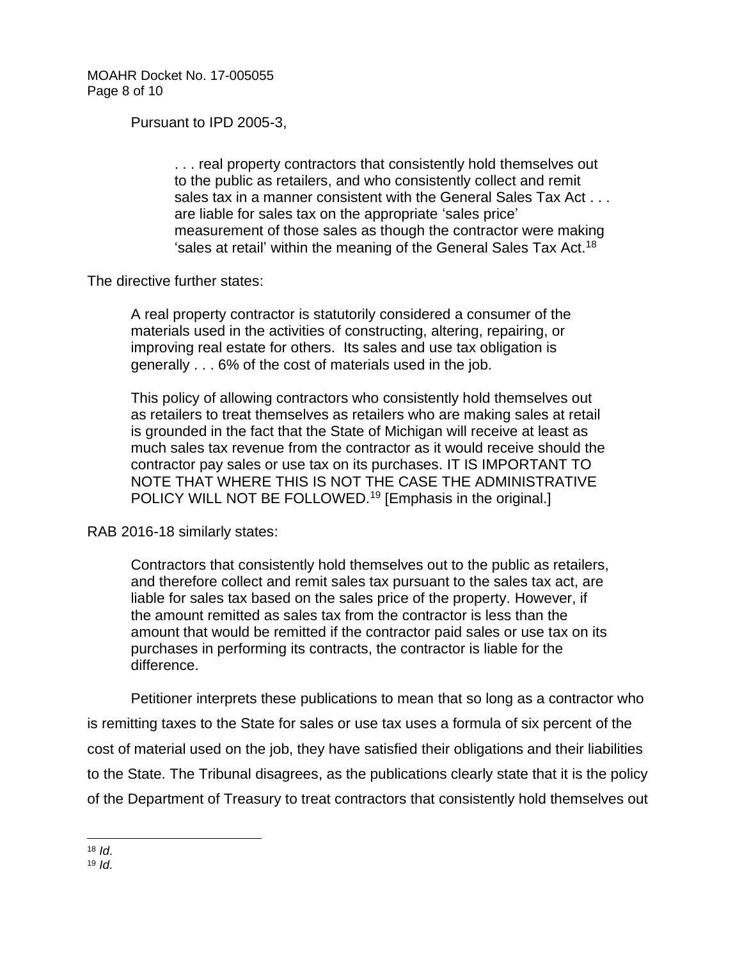MOAHR Docket No. 17-005055 Page 8 of 10

Pursuant to IPD 2005-3,

. . . real property contractors that consistently hold themselves out to the public as retailers, and who consistently collect and remit sales tax in a manner consistent with the General Sales Tax Act . . . are liable for sales tax on the appropriate 'sales price' measurement of those sales as though the contractor were making 'sales at retail' within the meaning of the General Sales Tax Act.<sup>18</sup>

The directive further states:

A real property contractor is statutorily considered a consumer of the materials used in the activities of constructing, altering, repairing, or improving real estate for others. Its sales and use tax obligation is generally . . . 6% of the cost of materials used in the job.

This policy of allowing contractors who consistently hold themselves out as retailers to treat themselves as retailers who are making sales at retail is grounded in the fact that the State of Michigan will receive at least as much sales tax revenue from the contractor as it would receive should the contractor pay sales or use tax on its purchases. IT IS IMPORTANT TO NOTE THAT WHERE THIS IS NOT THE CASE THE ADMINISTRATIVE POLICY WILL NOT BE FOLLOWED.<sup>19</sup> [Emphasis in the original.]

RAB 2016-18 similarly states:

Contractors that consistently hold themselves out to the public as retailers, and therefore collect and remit sales tax pursuant to the sales tax act, are liable for sales tax based on the sales price of the property. However, if the amount remitted as sales tax from the contractor is less than the amount that would be remitted if the contractor paid sales or use tax on its purchases in performing its contracts, the contractor is liable for the difference.

Petitioner interprets these publications to mean that so long as a contractor who is remitting taxes to the State for sales or use tax uses a formula of six percent of the cost of material used on the job, they have satisfied their obligations and their liabilities to the State. The Tribunal disagrees, as the publications clearly state that it is the policy of the Department of Treasury to treat contractors that consistently hold themselves out

 $18$  *Id.* 

<sup>19</sup> *Id*.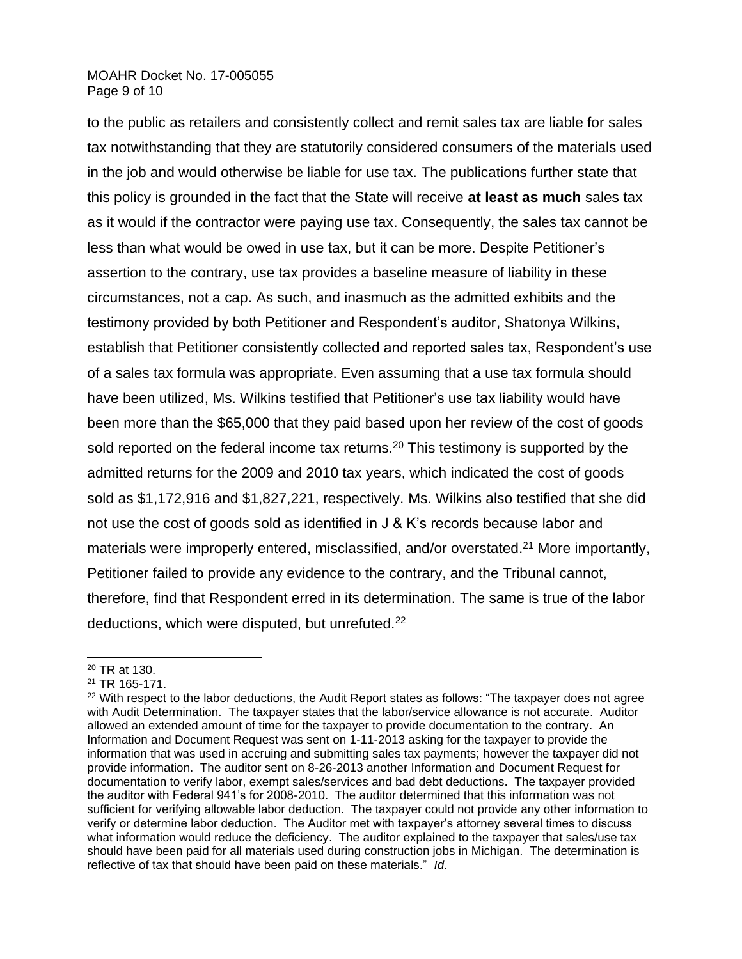#### MOAHR Docket No. 17-005055 Page 9 of 10

to the public as retailers and consistently collect and remit sales tax are liable for sales tax notwithstanding that they are statutorily considered consumers of the materials used in the job and would otherwise be liable for use tax. The publications further state that this policy is grounded in the fact that the State will receive **at least as much** sales tax as it would if the contractor were paying use tax. Consequently, the sales tax cannot be less than what would be owed in use tax, but it can be more. Despite Petitioner's assertion to the contrary, use tax provides a baseline measure of liability in these circumstances, not a cap. As such, and inasmuch as the admitted exhibits and the testimony provided by both Petitioner and Respondent's auditor, Shatonya Wilkins, establish that Petitioner consistently collected and reported sales tax, Respondent's use of a sales tax formula was appropriate. Even assuming that a use tax formula should have been utilized, Ms. Wilkins testified that Petitioner's use tax liability would have been more than the \$65,000 that they paid based upon her review of the cost of goods sold reported on the federal income tax returns.<sup>20</sup> This testimony is supported by the admitted returns for the 2009 and 2010 tax years, which indicated the cost of goods sold as \$1,172,916 and \$1,827,221, respectively. Ms. Wilkins also testified that she did not use the cost of goods sold as identified in J & K's records because labor and materials were improperly entered, misclassified, and/or overstated.<sup>21</sup> More importantly, Petitioner failed to provide any evidence to the contrary, and the Tribunal cannot, therefore, find that Respondent erred in its determination. The same is true of the labor deductions, which were disputed, but unrefuted.<sup>22</sup>

<sup>20</sup> TR at 130.

<sup>21</sup> TR 165-171.

<sup>&</sup>lt;sup>22</sup> With respect to the labor deductions, the Audit Report states as follows: "The taxpayer does not agree with Audit Determination. The taxpayer states that the labor/service allowance is not accurate. Auditor allowed an extended amount of time for the taxpayer to provide documentation to the contrary. An Information and Document Request was sent on 1-11-2013 asking for the taxpayer to provide the information that was used in accruing and submitting sales tax payments; however the taxpayer did not provide information. The auditor sent on 8-26-2013 another Information and Document Request for documentation to verify labor, exempt sales/services and bad debt deductions. The taxpayer provided the auditor with Federal 941's for 2008-2010. The auditor determined that this information was not sufficient for verifying allowable labor deduction. The taxpayer could not provide any other information to verify or determine labor deduction. The Auditor met with taxpayer's attorney several times to discuss what information would reduce the deficiency. The auditor explained to the taxpayer that sales/use tax should have been paid for all materials used during construction jobs in Michigan. The determination is reflective of tax that should have been paid on these materials." *Id*.